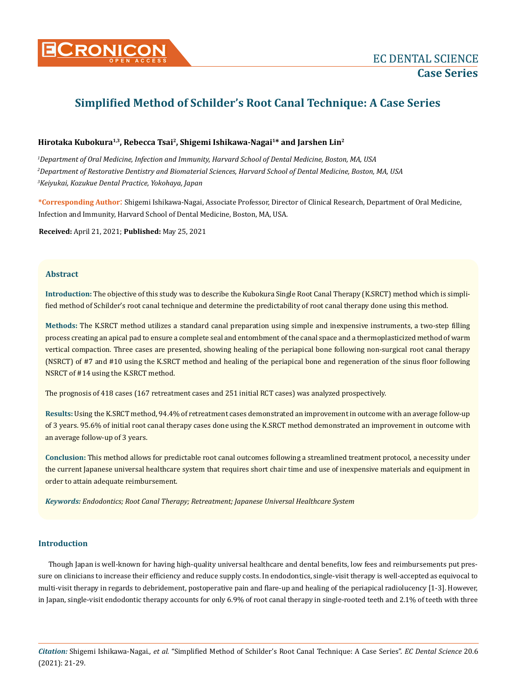# **Simplified Method of Schilder's Root Canal Technique: A Case Series**

# **Hirotaka Kubokura1,3, Rebecca Tsai<sup>2</sup>, Shigemi Ishikawa-Nagai<sup>1</sup>\* and Jarshen Lin<sup>2</sup>**

*1 Department of Oral Medicine, Infection and Immunity, Harvard School of Dental Medicine, Boston, MA, USA 2 Department of Restorative Dentistry and Biomaterial Sciences, Harvard School of Dental Medicine, Boston, MA, USA 3 Keiyukai, Kozukue Dental Practice, Yokohaya, Japan*

**\*Corresponding Author**: Shigemi Ishikawa-Nagai, Associate Professor, Director of Clinical Research, Department of Oral Medicine, Infection and Immunity, Harvard School of Dental Medicine, Boston, MA, USA.

**Received:** April 21, 2021; **Published:** May 25, 2021

## **Abstract**

**Introduction:** The objective of this study was to describe the Kubokura Single Root Canal Therapy (K.SRCT) method which is simplified method of Schilder's root canal technique and determine the predictability of root canal therapy done using this method.

**Methods:** The K.SRCT method utilizes a standard canal preparation using simple and inexpensive instruments, a two-step filling process creating an apical pad to ensure a complete seal and entombment of the canal space and a thermoplasticized method of warm vertical compaction. Three cases are presented, showing healing of the periapical bone following non-surgical root canal therapy (NSRCT) of #7 and #10 using the K.SRCT method and healing of the periapical bone and regeneration of the sinus floor following NSRCT of #14 using the K.SRCT method.

The prognosis of 418 cases (167 retreatment cases and 251 initial RCT cases) was analyzed prospectively.

**Results:** Using the K.SRCT method, 94.4% of retreatment cases demonstrated an improvement in outcome with an average follow-up of 3 years. 95.6% of initial root canal therapy cases done using the K.SRCT method demonstrated an improvement in outcome with an average follow-up of 3 years.

**Conclusion:** This method allows for predictable root canal outcomes following a streamlined treatment protocol, a necessity under the current Japanese universal healthcare system that requires short chair time and use of inexpensive materials and equipment in order to attain adequate reimbursement.

*Keywords: Endodontics; Root Canal Therapy; Retreatment; Japanese Universal Healthcare System*

## **Introduction**

Though Japan is well-known for having high-quality universal healthcare and dental benefits, low fees and reimbursements put pressure on clinicians to increase their efficiency and reduce supply costs. In endodontics, single-visit therapy is well-accepted as equivocal to multi-visit therapy in regards to debridement, postoperative pain and flare-up and healing of the periapical radiolucency [1-3]. However, in Japan, single-visit endodontic therapy accounts for only 6.9% of root canal therapy in single-rooted teeth and 2.1% of teeth with three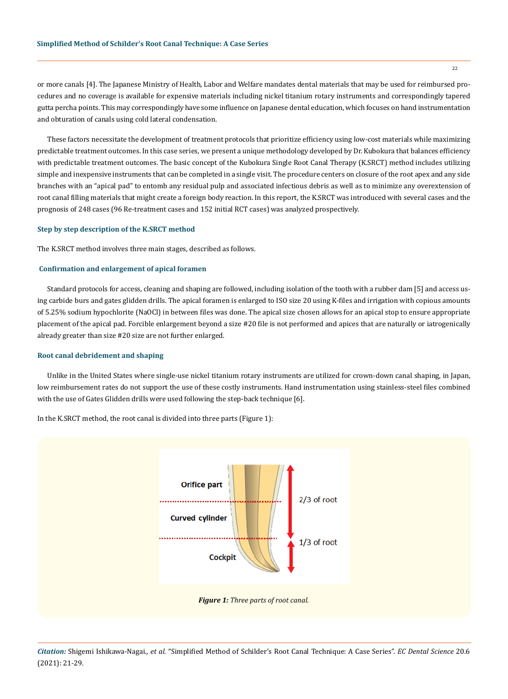or more canals [4]. The Japanese Ministry of Health, Labor and Welfare mandates dental materials that may be used for reimbursed procedures and no coverage is available for expensive materials including nickel titanium rotary instruments and correspondingly tapered gutta percha points. This may correspondingly have some influence on Japanese dental education, which focuses on hand instrumentation and obturation of canals using cold lateral condensation.

These factors necessitate the development of treatment protocols that prioritize efficiency using low-cost materials while maximizing predictable treatment outcomes. In this case series, we present a unique methodology developed by Dr. Kubokura that balances efficiency with predictable treatment outcomes. The basic concept of the Kubokura Single Root Canal Therapy (K.SRCT) method includes utilizing simple and inexpensive instruments that can be completed in a single visit. The procedure centers on closure of the root apex and any side branches with an "apical pad" to entomb any residual pulp and associated infectious debris as well as to minimize any overextension of root canal filling materials that might create a foreign body reaction. In this report, the K.SRCT was introduced with several cases and the prognosis of 248 cases (96 Re-treatment cases and 152 initial RCT cases) was analyzed prospectively.

#### **Step by step description of the K.SRCT method**

The K.SRCT method involves three main stages, described as follows.

## **Confirmation and enlargement of apical foramen**

Standard protocols for access, cleaning and shaping are followed, including isolation of the tooth with a rubber dam [5] and access using carbide burs and gates glidden drills. The apical foramen is enlarged to ISO size 20 using K-files and irrigation with copious amounts of 5.25% sodium hypochlorite (NaOCl) in between files was done. The apical size chosen allows for an apical stop to ensure appropriate placement of the apical pad. Forcible enlargement beyond a size #20 file is not performed and apices that are naturally or iatrogenically already greater than size #20 size are not further enlarged.

#### **Root canal debridement and shaping**

Unlike in the United States where single-use nickel titanium rotary instruments are utilized for crown-down canal shaping, in Japan, low reimbursement rates do not support the use of these costly instruments. Hand instrumentation using stainless-steel files combined with the use of Gates Glidden drills were used following the step-back technique [6].

In the K.SRCT method, the root canal is divided into three parts (Figure 1):



*Citation:* Shigemi Ishikawa-Nagai*., et al.* "Simplified Method of Schilder's Root Canal Technique: A Case Series". *EC Dental Science* 20.6 (2021): 21-29.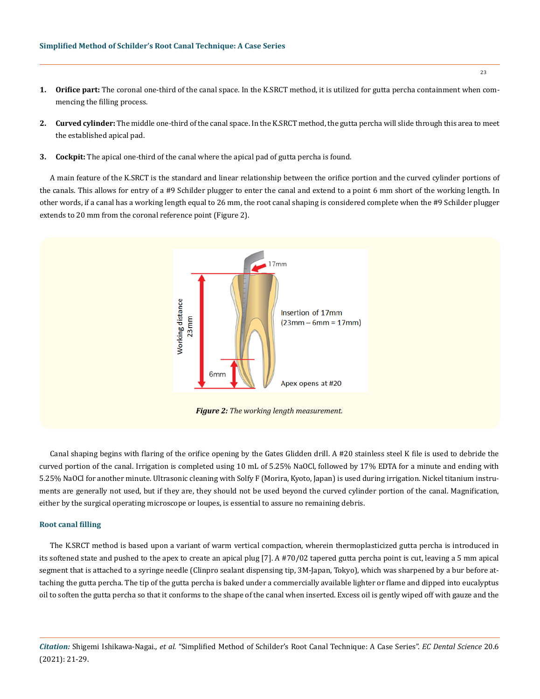- **1. Orifice part:** The coronal one-third of the canal space. In the K.SRCT method, it is utilized for gutta percha containment when commencing the filling process.
- **2. Curved cylinder:** The middle one-third of the canal space. In the K.SRCT method, the gutta percha will slide through this area to meet the established apical pad.
- **3. Cockpit:** The apical one-third of the canal where the apical pad of gutta percha is found.

A main feature of the K.SRCT is the standard and linear relationship between the orifice portion and the curved cylinder portions of the canals. This allows for entry of a #9 Schilder plugger to enter the canal and extend to a point 6 mm short of the working length. In other words, if a canal has a working length equal to 26 mm, the root canal shaping is considered complete when the #9 Schilder plugger extends to 20 mm from the coronal reference point (Figure 2).



Canal shaping begins with flaring of the orifice opening by the Gates Glidden drill. A #20 stainless steel K file is used to debride the curved portion of the canal. Irrigation is completed using 10 mL of 5.25% NaOCl, followed by 17% EDTA for a minute and ending with 5.25% NaOCl for another minute. Ultrasonic cleaning with Solfy F (Morira, Kyoto, Japan) is used during irrigation. Nickel titanium instruments are generally not used, but if they are, they should not be used beyond the curved cylinder portion of the canal. Magnification, either by the surgical operating microscope or loupes, is essential to assure no remaining debris.

## **Root canal filling**

The K.SRCT method is based upon a variant of warm vertical compaction, wherein thermoplasticized gutta percha is introduced in its softened state and pushed to the apex to create an apical plug [7]. A #70/02 tapered gutta percha point is cut, leaving a 5 mm apical segment that is attached to a syringe needle (Clinpro sealant dispensing tip, 3M-Japan, Tokyo), which was sharpened by a bur before attaching the gutta percha. The tip of the gutta percha is baked under a commercially available lighter or flame and dipped into eucalyptus oil to soften the gutta percha so that it conforms to the shape of the canal when inserted. Excess oil is gently wiped off with gauze and the

*Citation:* Shigemi Ishikawa-Nagai*., et al.* "Simplified Method of Schilder's Root Canal Technique: A Case Series". *EC Dental Science* 20.6 (2021): 21-29.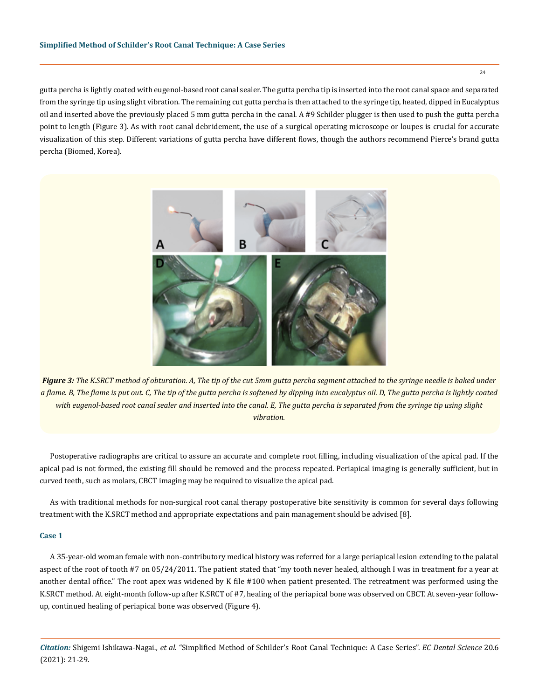gutta percha is lightly coated with eugenol-based root canal sealer. The gutta percha tip is inserted into the root canal space and separated from the syringe tip using slight vibration. The remaining cut gutta percha is then attached to the syringe tip, heated, dipped in Eucalyptus oil and inserted above the previously placed 5 mm gutta percha in the canal. A #9 Schilder plugger is then used to push the gutta percha point to length (Figure 3). As with root canal debridement, the use of a surgical operating microscope or loupes is crucial for accurate visualization of this step. Different variations of gutta percha have different flows, though the authors recommend Pierce's brand gutta percha (Biomed, Korea).



*Figure 3: The K.SRCT method of obturation. A, The tip of the cut 5mm gutta percha segment attached to the syringe needle is baked under a flame. B, The flame is put out. C, The tip of the gutta percha is softened by dipping into eucalyptus oil. D, The gutta percha is lightly coated with eugenol-based root canal sealer and inserted into the canal. E, The gutta percha is separated from the syringe tip using slight vibration.*

Postoperative radiographs are critical to assure an accurate and complete root filling, including visualization of the apical pad. If the apical pad is not formed, the existing fill should be removed and the process repeated. Periapical imaging is generally sufficient, but in curved teeth, such as molars, CBCT imaging may be required to visualize the apical pad.

As with traditional methods for non-surgical root canal therapy postoperative bite sensitivity is common for several days following treatment with the K.SRCT method and appropriate expectations and pain management should be advised [8].

## **Case 1**

A 35-year-old woman female with non-contributory medical history was referred for a large periapical lesion extending to the palatal aspect of the root of tooth #7 on 05/24/2011. The patient stated that "my tooth never healed, although I was in treatment for a year at another dental office." The root apex was widened by K file #100 when patient presented. The retreatment was performed using the K.SRCT method. At eight-month follow-up after K.SRCT of #7, healing of the periapical bone was observed on CBCT. At seven-year followup, continued healing of periapical bone was observed (Figure 4).

*Citation:* Shigemi Ishikawa-Nagai*., et al.* "Simplified Method of Schilder's Root Canal Technique: A Case Series". *EC Dental Science* 20.6 (2021): 21-29.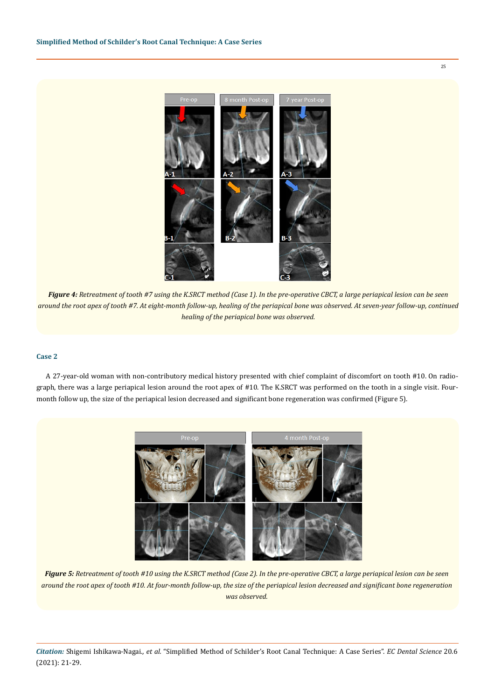8 month Post-op 7 year Post-op

*Figure 4: Retreatment of tooth #7 using the K.SRCT method (Case 1). In the pre-operative CBCT, a large periapical lesion can be seen around the root apex of tooth #7. At eight-month follow-up, healing of the periapical bone was observed. At seven-year follow-up, continued healing of the periapical bone was observed.*

## **Case 2**

A 27-year-old woman with non-contributory medical history presented with chief complaint of discomfort on tooth #10. On radiograph, there was a large periapical lesion around the root apex of #10. The K.SRCT was performed on the tooth in a single visit. Fourmonth follow up, the size of the periapical lesion decreased and significant bone regeneration was confirmed (Figure 5).



*Figure 5: Retreatment of tooth #10 using the K.SRCT method (Case 2). In the pre-operative CBCT, a large periapical lesion can be seen around the root apex of tooth #10. At four-month follow-up, the size of the periapical lesion decreased and significant bone regeneration was observed.*

*Citation:* Shigemi Ishikawa-Nagai*., et al.* "Simplified Method of Schilder's Root Canal Technique: A Case Series". *EC Dental Science* 20.6 (2021): 21-29.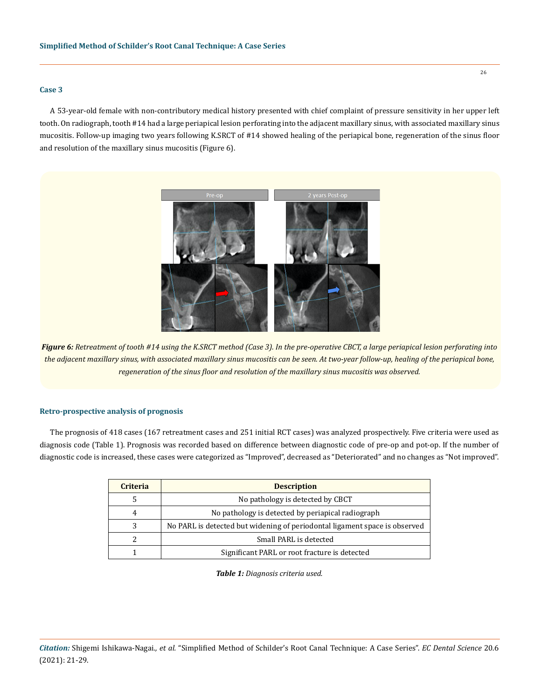#### **Case 3**

A 53-year-old female with non-contributory medical history presented with chief complaint of pressure sensitivity in her upper left tooth. On radiograph, tooth #14 had a large periapical lesion perforating into the adjacent maxillary sinus, with associated maxillary sinus mucositis. Follow-up imaging two years following K.SRCT of #14 showed healing of the periapical bone, regeneration of the sinus floor and resolution of the maxillary sinus mucositis (Figure 6).



*Figure 6: Retreatment of tooth #14 using the K.SRCT method (Case 3). In the pre-operative CBCT, a large periapical lesion perforating into the adjacent maxillary sinus, with associated maxillary sinus mucositis can be seen. At two-year follow-up, healing of the periapical bone, regeneration of the sinus floor and resolution of the maxillary sinus mucositis was observed.* 

## **Retro-prospective analysis of prognosis**

The prognosis of 418 cases (167 retreatment cases and 251 initial RCT cases) was analyzed prospectively. Five criteria were used as diagnosis code (Table 1). Prognosis was recorded based on difference between diagnostic code of pre-op and pot-op. If the number of diagnostic code is increased, these cases were categorized as "Improved", decreased as "Deteriorated" and no changes as "Not improved".

| <b>Criteria</b> | <b>Description</b>                                                         |  |  |  |  |  |  |
|-----------------|----------------------------------------------------------------------------|--|--|--|--|--|--|
| 5               | No pathology is detected by CBCT                                           |  |  |  |  |  |  |
| 4               | No pathology is detected by periapical radiograph                          |  |  |  |  |  |  |
| 3               | No PARL is detected but widening of periodontal ligament space is observed |  |  |  |  |  |  |
|                 | Small PARL is detected                                                     |  |  |  |  |  |  |
|                 | Significant PARL or root fracture is detected                              |  |  |  |  |  |  |

*Table 1: Diagnosis criteria used.*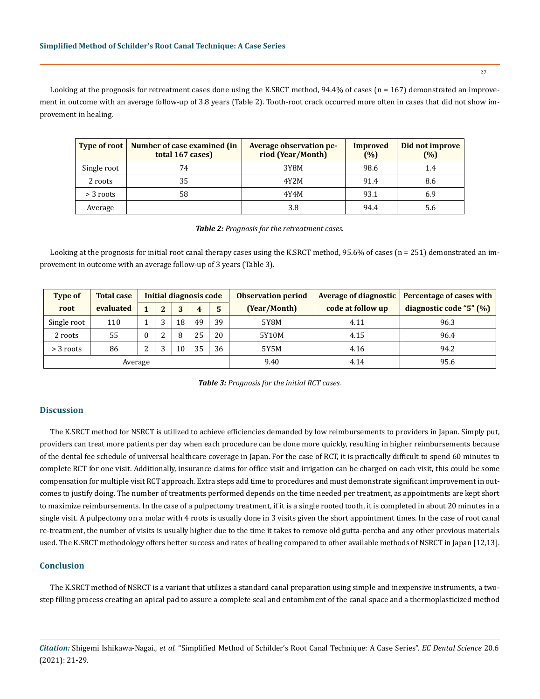Looking at the prognosis for retreatment cases done using the K.SRCT method, 94.4% of cases (n = 167) demonstrated an improvement in outcome with an average follow-up of 3.8 years (Table 2). Tooth-root crack occurred more often in cases that did not show improvement in healing.

| <b>Type of root</b> | Number of case examined (in<br>total 167 cases) | <b>Average observation pe-</b><br>riod (Year/Month) | Improved<br>(%) | Did not improve<br>$(\%)$ |
|---------------------|-------------------------------------------------|-----------------------------------------------------|-----------------|---------------------------|
| Single root         | 74                                              | 3Y8M                                                | 98.6            | 1.4                       |
| 2 roots             | 35                                              | 4Y2M                                                | 91.4            | 8.6                       |
| $>$ 3 roots         | 58                                              | 4Y4M                                                | 93.1            | 6.9                       |
| Average             |                                                 | 3.8                                                 | 94.4            | 5.6                       |

#### *Table 2: Prognosis for the retreatment cases.*

Looking at the prognosis for initial root canal therapy cases using the K.SRCT method, 95.6% of cases (n = 251) demonstrated an improvement in outcome with an average follow-up of 3 years (Table 3).

| <b>Type of</b> | <b>Total case</b> | Initial diagnosis code |   |    |    |    | <b>Observation period</b> |                   | Average of diagnostic   Percentage of cases with |
|----------------|-------------------|------------------------|---|----|----|----|---------------------------|-------------------|--------------------------------------------------|
| root           | evaluated         |                        | າ | 3  | 4  | 5  | (Year/Month)              | code at follow up | diagnostic code "5" (%)                          |
| Single root    | 110               |                        | э | 18 | 49 | 39 | 5Y8M                      | 4.11              | 96.3                                             |
| 2 roots        | 55                |                        |   | 8  | 25 | 20 | 5Y10M                     | 4.15              | 96.4                                             |
| $>$ 3 roots    | 86                | C<br>∸                 | Э | 10 | 35 | 36 | 5Y5M                      | 4.16              | 94.2                                             |
| Average        |                   |                        |   |    |    |    | 9.40                      | 4.14              | 95.6                                             |

| <b>Table 3:</b> Prognosis for the initial RCT cases. |  |  |  |
|------------------------------------------------------|--|--|--|
|------------------------------------------------------|--|--|--|

## **Discussion**

The K.SRCT method for NSRCT is utilized to achieve efficiencies demanded by low reimbursements to providers in Japan. Simply put, providers can treat more patients per day when each procedure can be done more quickly, resulting in higher reimbursements because of the dental fee schedule of universal healthcare coverage in Japan. For the case of RCT, it is practically difficult to spend 60 minutes to complete RCT for one visit. Additionally, insurance claims for office visit and irrigation can be charged on each visit, this could be some compensation for multiple visit RCT approach. Extra steps add time to procedures and must demonstrate significant improvement in outcomes to justify doing. The number of treatments performed depends on the time needed per treatment, as appointments are kept short to maximize reimbursements. In the case of a pulpectomy treatment, if it is a single rooted tooth, it is completed in about 20 minutes in a single visit. A pulpectomy on a molar with 4 roots is usually done in 3 visits given the short appointment times. In the case of root canal re-treatment, the number of visits is usually higher due to the time it takes to remove old gutta-percha and any other previous materials used. The K.SRCT methodology offers better success and rates of healing compared to other available methods of NSRCT in Japan [12,13].

## **Conclusion**

The K.SRCT method of NSRCT is a variant that utilizes a standard canal preparation using simple and inexpensive instruments, a twostep filling process creating an apical pad to assure a complete seal and entombment of the canal space and a thermoplasticized method

*Citation:* Shigemi Ishikawa-Nagai*., et al.* "Simplified Method of Schilder's Root Canal Technique: A Case Series". *EC Dental Science* 20.6 (2021): 21-29.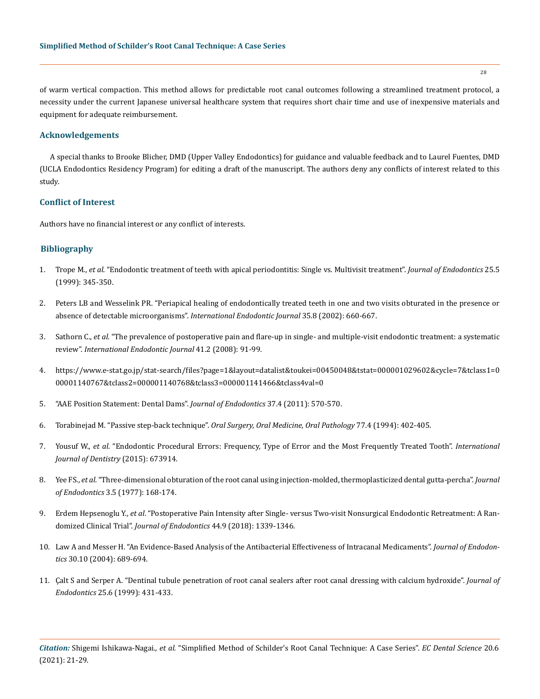of warm vertical compaction. This method allows for predictable root canal outcomes following a streamlined treatment protocol, a necessity under the current Japanese universal healthcare system that requires short chair time and use of inexpensive materials and equipment for adequate reimbursement.

## **Acknowledgements**

A special thanks to Brooke Blicher, DMD (Upper Valley Endodontics) for guidance and valuable feedback and to Laurel Fuentes, DMD (UCLA Endodontics Residency Program) for editing a draft of the manuscript. The authors deny any conflicts of interest related to this study.

## **Conflict of Interest**

Authors have no financial interest or any conflict of interests.

## **Bibliography**

- 1. Trope M., *et al*[. "Endodontic treatment of teeth with apical periodontitis: Single vs. Multivisit treatment".](https://pubmed.ncbi.nlm.nih.gov/10530259/) *Journal of Endodontics* 25.5 [\(1999\): 345-350.](https://pubmed.ncbi.nlm.nih.gov/10530259/)
- 2. [Peters LB and Wesselink PR. "Periapical healing of endodontically treated teeth in one and two visits obturated in the presence or](https://pubmed.ncbi.nlm.nih.gov/12196219/)  absence of detectable microorganisms". *[International Endodontic Journal](https://pubmed.ncbi.nlm.nih.gov/12196219/)* 35.8 (2002): 660-667.
- 3. Sathorn C., *et al*[. "The prevalence of postoperative pain and flare‐up in single‐ and multiple‐visit endodontic treatment: a systematic](https://pubmed.ncbi.nlm.nih.gov/17956561/)  review". *[International Endodontic Journal](https://pubmed.ncbi.nlm.nih.gov/17956561/)* 41.2 (2008): 91-99.
- 4. [https://www.e-stat.go.jp/stat-search/files?page=1&layout=datalist&toukei=00450048&tstat=000001029602&cycle=7&tclass1=0](https://www.e-stat.go.jp/stat-search/files?page=1&layout=datalist&toukei=00450048&tstat=000001029602&cycle=7&tclass1=000001140767&tclass2=000001140768&tclass3=000001141466&tclass4val=0) [00001140767&tclass2=000001140768&tclass3=000001141466&tclass4val=0](https://www.e-stat.go.jp/stat-search/files?page=1&layout=datalist&toukei=00450048&tstat=000001029602&cycle=7&tclass1=000001140767&tclass2=000001140768&tclass3=000001141466&tclass4val=0)
- 5. "AAE Position Statement: Dental Dams". *Journal of Endodontics* 37.4 (2011): 570-570.
- 6. Torabinejad M. "Passive step-back technique". *[Oral Surgery, Oral Medicine, Oral Pathology](https://pubmed.ncbi.nlm.nih.gov/8015805/)* 77.4 (1994): 402-405.
- 7. Yousuf W., *et al*[. "Endodontic Procedural Errors: Frequency, Type of Error and the Most Frequently Treated Tooth".](https://pubmed.ncbi.nlm.nih.gov/26347779/) *International [Journal of Dentistry](https://pubmed.ncbi.nlm.nih.gov/26347779/)* (2015): 673914.
- 8. Yee FS., *et al*[. "Three-dimensional obturation of the root canal using injection-molded, thermoplasticized dental gutta-percha".](https://pubmed.ncbi.nlm.nih.gov/266025/) *Journal of Endodontics* [3.5 \(1977\): 168-174.](https://pubmed.ncbi.nlm.nih.gov/266025/)
- 9. Erdem Hepsenoglu Y., *et al*[. "Postoperative Pain Intensity after Single- versus Two-visit Nonsurgical Endodontic Retreatment: A Ran](https://pubmed.ncbi.nlm.nih.gov/30054099/)domized Clinical Trial". *[Journal of Endodontics](https://pubmed.ncbi.nlm.nih.gov/30054099/)* 44.9 (2018): 1339-1346.
- 10. [Law A and Messer H. "An Evidence-Based Analysis of the Antibacterial Effectiveness of Intracanal Medicaments".](https://pubmed.ncbi.nlm.nih.gov/15448460/) *Journal of Endodontics* [30.10 \(2004\): 689-694.](https://pubmed.ncbi.nlm.nih.gov/15448460/)
- 11. [Çalt S and Serper A. "Dentinal tubule penetration of root canal sealers after root canal dressing with calcium hydroxide".](https://pubmed.ncbi.nlm.nih.gov/10530245/) *Journal of Endodontics* [25.6 \(1999\): 431-433.](https://pubmed.ncbi.nlm.nih.gov/10530245/)